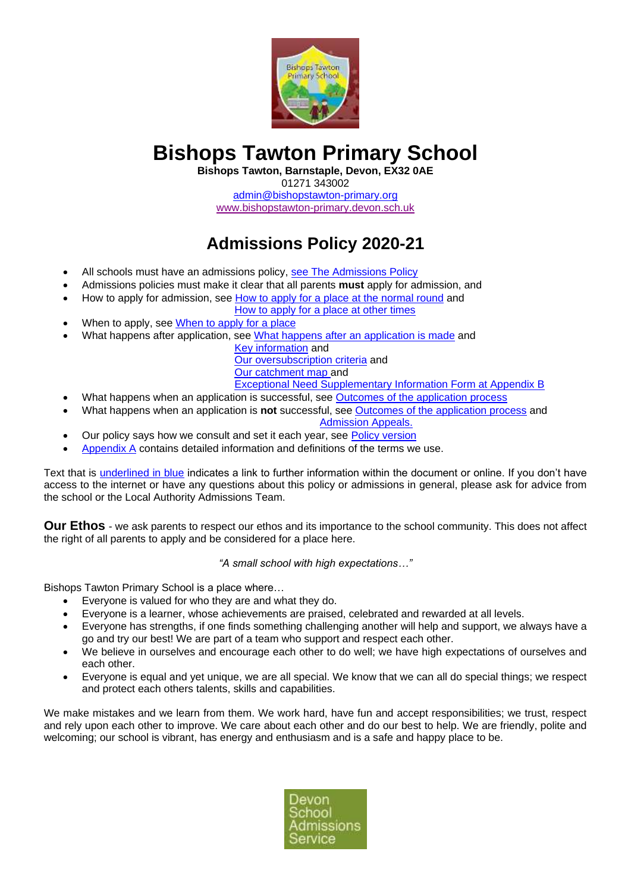

# **Bishops Tawton Primary School**

**Bishops Tawton, Barnstaple, Devon, EX32 0AE**

01271 343002

[admin@bishopstawton-primary.org](mailto:admin@bishopstawton-primary.org) [www.bishopstawton-primary.devon.sch.uk](http://www.bishopstawton-primary.devon.sch.uk/)

# **Admissions Policy 2020-21**

- All schools must have an admissions policy[, see The Admissions Policy](#page-3-0)
- Admissions policies must make it clear that all parents **must** apply for admission, and
- How to apply for admission, see [How to apply for a place at the normal round](#page-3-1) and

[How to apply for a place at other times](#page-3-2)

- When to apply, see [When to apply for a place](#page-3-2)
- What happens after application, see [What happens after an application is made](#page-3-3) and

[Key information](#page-1-0) and [Our oversubscription criteria](#page-1-1) and [Our catchment map](#page-1-2) and

- [Exceptional Need Supplementary Information Form at Appendix B](#page-15-0)
- What happens when an application is successful, see **Outcomes of the application process**
- What happens when an application is **not** successful, see [Outcomes of the application process](#page-4-0) and [Admission Appeals.](#page-5-0)
- Our policy says how we consult and set it each year, see Policy [version](#page-1-3)
- [Appendix A](#page-5-1) contains detailed information and definitions of the terms we use.

Text that is underlined in blue indicates a link to further information within the document or online. If you don't have access to the internet or have any questions about this policy or admissions in general, please ask for advice from the school or the Local Authority Admissions Team.

**Our Ethos** - we ask parents to respect our ethos and its importance to the school community. This does not affect the right of all parents to apply and be considered for a place here.

*"A small school with high expectations…"*

Bishops Tawton Primary School is a place where…

- Everyone is valued for who they are and what they do.
- Everyone is a learner, whose achievements are praised, celebrated and rewarded at all levels.
- Everyone has strengths, if one finds something challenging another will help and support, we always have a go and try our best! We are part of a team who support and respect each other.
- We believe in ourselves and encourage each other to do well; we have high expectations of ourselves and each other.
- Everyone is equal and yet unique, we are all special. We know that we can all do special things; we respect and protect each others talents, skills and capabilities.

We make mistakes and we learn from them. We work hard, have fun and accept responsibilities; we trust, respect and rely upon each other to improve. We care about each other and do our best to help. We are friendly, polite and welcoming; our school is vibrant, has energy and enthusiasm and is a safe and happy place to be.

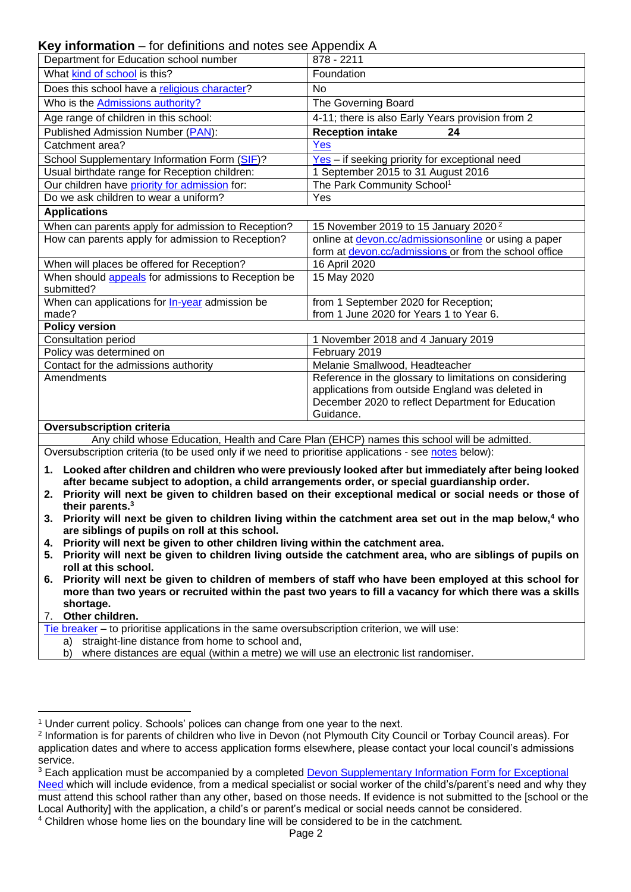**Key information** – for definitions and notes see Appendix A

<span id="page-1-3"></span><span id="page-1-0"></span>

| <b>Key information</b> – for definitions and notes see Appendix A                                                                                                        |                                                                                                           |  |
|--------------------------------------------------------------------------------------------------------------------------------------------------------------------------|-----------------------------------------------------------------------------------------------------------|--|
| Department for Education school number                                                                                                                                   | 878 - 2211                                                                                                |  |
| What kind of school is this?                                                                                                                                             | Foundation                                                                                                |  |
| Does this school have a religious character?                                                                                                                             | No                                                                                                        |  |
| Who is the Admissions authority?                                                                                                                                         | The Governing Board                                                                                       |  |
| Age range of children in this school:                                                                                                                                    | 4-11; there is also Early Years provision from 2                                                          |  |
| Published Admission Number (PAN):                                                                                                                                        | <b>Reception intake</b><br>24                                                                             |  |
| Catchment area?                                                                                                                                                          | <b>Yes</b>                                                                                                |  |
| School Supplementary Information Form (SIF)?                                                                                                                             | Yes - if seeking priority for exceptional need                                                            |  |
| Usual birthdate range for Reception children:                                                                                                                            | 1 September 2015 to 31 August 2016                                                                        |  |
| Our children have priority for admission for:                                                                                                                            | The Park Community School <sup>1</sup>                                                                    |  |
| Do we ask children to wear a uniform?                                                                                                                                    | Yes                                                                                                       |  |
| <b>Applications</b>                                                                                                                                                      |                                                                                                           |  |
| When can parents apply for admission to Reception?                                                                                                                       | 15 November 2019 to 15 January 2020 <sup>2</sup>                                                          |  |
| How can parents apply for admission to Reception?                                                                                                                        | online at devon.cc/admissionsonline or using a paper                                                      |  |
|                                                                                                                                                                          | form at devon.cc/admissions or from the school office                                                     |  |
| When will places be offered for Reception?                                                                                                                               | 16 April 2020                                                                                             |  |
| When should appeals for admissions to Reception be<br>submitted?                                                                                                         | 15 May 2020                                                                                               |  |
| When can applications for <b>In-year</b> admission be                                                                                                                    | from 1 September 2020 for Reception;                                                                      |  |
| made?                                                                                                                                                                    | from 1 June 2020 for Years 1 to Year 6.                                                                   |  |
| <b>Policy version</b>                                                                                                                                                    |                                                                                                           |  |
| Consultation period                                                                                                                                                      | 1 November 2018 and 4 January 2019                                                                        |  |
| Policy was determined on                                                                                                                                                 | February 2019                                                                                             |  |
| Contact for the admissions authority                                                                                                                                     | Melanie Smallwood, Headteacher                                                                            |  |
| Amendments                                                                                                                                                               | Reference in the glossary to limitations on considering                                                   |  |
|                                                                                                                                                                          | applications from outside England was deleted in                                                          |  |
|                                                                                                                                                                          | December 2020 to reflect Department for Education<br>Guidance.                                            |  |
| <b>Oversubscription criteria</b>                                                                                                                                         |                                                                                                           |  |
|                                                                                                                                                                          | Any child whose Education, Health and Care Plan (EHCP) names this school will be admitted.                |  |
| Oversubscription criteria (to be used only if we need to prioritise applications - see notes below):                                                                     |                                                                                                           |  |
|                                                                                                                                                                          |                                                                                                           |  |
|                                                                                                                                                                          | 1. Looked after children and children who were previously looked after but immediately after being looked |  |
| after became subject to adoption, a child arrangements order, or special guardianship order.                                                                             |                                                                                                           |  |
| 2.<br>their parents. <sup>3</sup>                                                                                                                                        | Priority will next be given to children based on their exceptional medical or social needs or those of    |  |
|                                                                                                                                                                          |                                                                                                           |  |
| 3. Priority will next be given to children living within the catchment area set out in the map below, <sup>4</sup> who<br>are siblings of pupils on roll at this school. |                                                                                                           |  |
| 4. Priority will next be given to other children living within the catchment area.                                                                                       |                                                                                                           |  |
| 5. Priority will next be given to children living outside the catchment area, who are siblings of pupils on<br>roll at this school.                                      |                                                                                                           |  |
| 6. Priority will next be given to children of members of staff who have been employed at this school for                                                                 |                                                                                                           |  |
| more than two years or recruited within the past two years to fill a vacancy for which there was a skills                                                                |                                                                                                           |  |
| shortage.                                                                                                                                                                |                                                                                                           |  |
| 7. Other children.                                                                                                                                                       |                                                                                                           |  |
| Tie breaker - to prioritise applications in the same oversubscription criterion, we will use:                                                                            |                                                                                                           |  |
| a) straight-line distance from home to school and,                                                                                                                       |                                                                                                           |  |
|                                                                                                                                                                          |                                                                                                           |  |

<span id="page-1-4"></span><span id="page-1-2"></span><span id="page-1-1"></span>b) where distances are equal (within a metre) we will use an electronic list randomiser.

<sup>&</sup>lt;sup>1</sup> Under current policy. Schools' polices can change from one year to the next.

<sup>&</sup>lt;sup>2</sup> Information is for parents of children who live in Devon (not Plymouth City Council or Torbay Council areas). For application dates and where to access application forms elsewhere, please contact your local council's admissions service.

<sup>&</sup>lt;sup>3</sup> Each application must be accompanied by a completed **Devon Supplementary Information Form for Exceptional** 

[Need](https://devoncc.sharepoint.com/:f:/s/PublicDocs/Education/Ek3l3xsoEkNJmUytBM94SzMB7Od91GgGkmSwmU2AMYf02Q?e=eSbkBE) which will include evidence, from a medical specialist or social worker of the child's/parent's need and why they must attend this school rather than any other, based on those needs. If evidence is not submitted to the [school or the Local Authority] with the application, a child's or parent's medical or social needs cannot be considered.

<sup>4</sup> Children whose home lies on the boundary line will be considered to be in the catchment.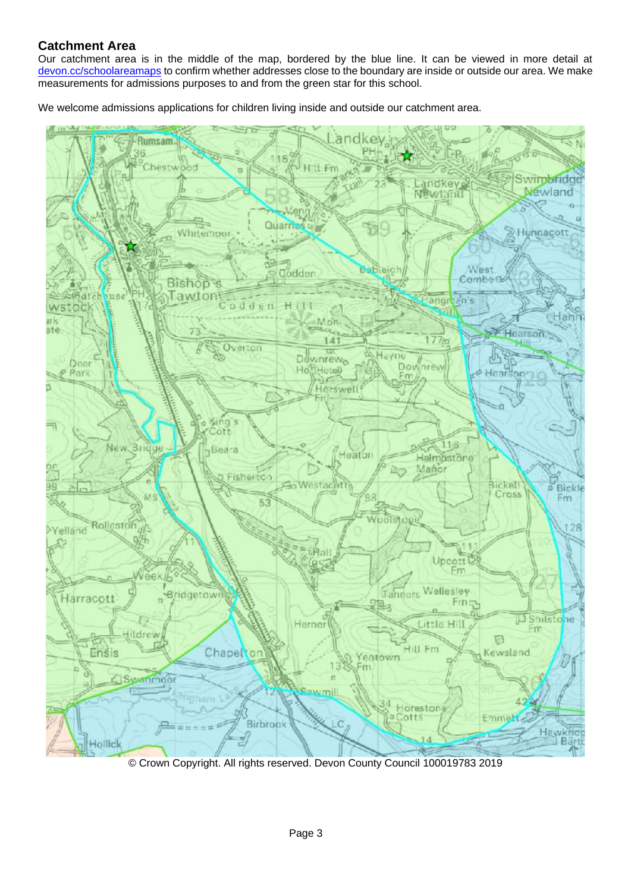## **Catchment Area**

Our catchment area is in the middle of the map, bordered by the blue line. It can be viewed in more detail at [devon.cc/schoolareamaps](http://devon.cc/schoolareamaps) to confirm whether addresses close to the boundary are inside or outside our area. We make measurements for admissions purposes to and from the green star for this school.

We welcome admissions applications for children living inside and outside our catchment area.



© Crown Copyright. All rights reserved. Devon County Council 100019783 2019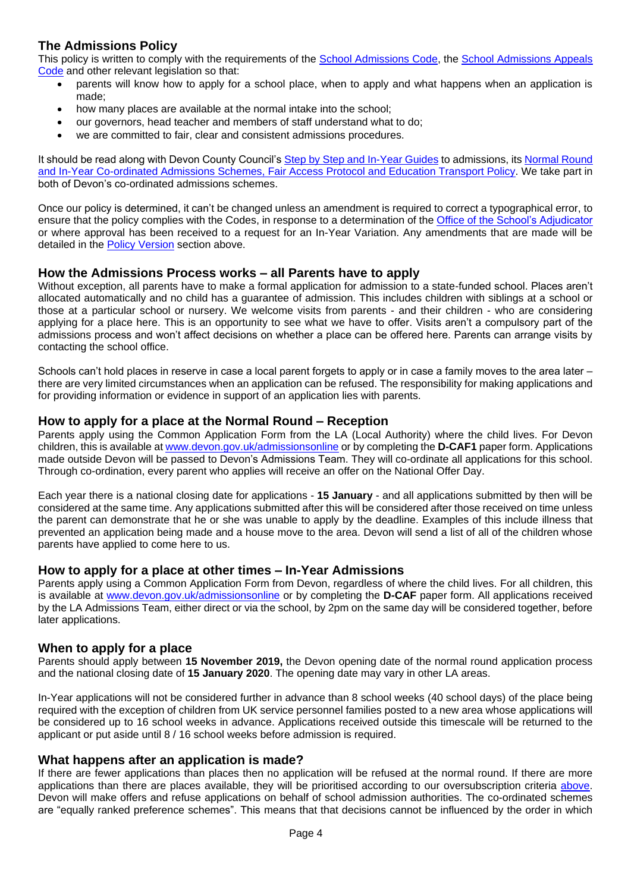## **The Admissions Policy**

This policy is written to comply with the requirements of the [School Admissions Code,](https://www.gov.uk/government/publications/school-admissions-code--2) the [School Admissions Appeals](https://www.gov.uk/government/publications/school-admissions-appeals-code)  [Code](https://www.gov.uk/government/publications/school-admissions-appeals-code) and other relevant legislation so that:

- <span id="page-3-0"></span>• parents will know how to apply for a school place, when to apply and what happens when an application is made;
- how many places are available at the normal intake into the school;
- our governors, head teacher and members of staff understand what to do;
- we are committed to fair, clear and consistent admissions procedures.

It should be read along with Devon County Council's [Step by Step and In-Year Guides](https://devoncc.sharepoint.com/:f:/r/sites/PublicDocs/Education/Children/Admissions/Composite%20Prospectus?csf=1&e=OwE5y2) to admissions, its [Normal Round](https://devoncc.sharepoint.com/:f:/r/sites/PublicDocs/Education/Children/Admissions/Devon%20LA%20policies?csf=1&e=EC6jZg)  [and In-Year Co-ordinated Admissions Schemes, Fair Access Protocol and Education Transport Policy.](https://devoncc.sharepoint.com/:f:/r/sites/PublicDocs/Education/Children/Admissions/Devon%20LA%20policies?csf=1&e=EC6jZg) We take part in both of Devon's co-ordinated admissions schemes.

Once our policy is determined, it can't be changed unless an amendment is required to correct a typographical error, to ensure that the policy complies with the Codes, in response to a determination of the [Office of the School's Adjudicator](https://www.gov.uk/government/organisations/office-of-the-schools-adjudicator) or where approval has been received to a request for an In-Year Variation. Any amendments that are made will be detailed in the [Policy Version](#page-1-3) section above.

### **How the Admissions Process works – all Parents have to apply**

Without exception, all parents have to make a formal application for admission to a state-funded school. Places aren't allocated automatically and no child has a guarantee of admission. This includes children with siblings at a school or those at a particular school or nursery. We welcome visits from parents - and their children - who are considering applying for a place here. This is an opportunity to see what we have to offer. Visits aren't a compulsory part of the admissions process and won't affect decisions on whether a place can be offered here. Parents can arrange visits by contacting the school office.

Schools can't hold places in reserve in case a local parent forgets to apply or in case a family moves to the area later – there are very limited circumstances when an application can be refused. The responsibility for making applications and for providing information or evidence in support of an application lies with parents.

### <span id="page-3-1"></span>**How to apply for a place at the Normal Round – Reception**

Parents apply using the Common Application Form from the LA (Local Authority) where the child lives. For Devon children, this is available at [www.devon.gov.uk/admissionsonline](http://www.devon.gov.uk/admissionsonline) or by completing the **D-CAF1** paper form. Applications made outside Devon will be passed to Devon's Admissions Team. They will co-ordinate all applications for this school. Through co-ordination, every parent who applies will receive an offer on the National Offer Day.

Each year there is a national closing date for applications - **15 January** - and all applications submitted by then will be considered at the same time. Any applications submitted after this will be considered after those received on time unless the parent can demonstrate that he or she was unable to apply by the deadline. Examples of this include illness that prevented an application being made and a house move to the area. Devon will send a list of all of the children whose parents have applied to come here to us.

#### <span id="page-3-2"></span>**How to apply for a place at other times – In-Year Admissions**

Parents apply using a Common Application Form from Devon, regardless of where the child lives. For all children, this is available at [www.devon.gov.uk/admissionsonline](http://www.devon.gov.uk/admissionsonline) or by completing the **D-CAF** paper form. All applications received by the LA Admissions Team, either direct or via the school, by 2pm on the same day will be considered together, before later applications.

### **When to apply for a place**

Parents should apply between **15 November 2019,** the Devon opening date of the normal round application process and the national closing date of **15 January 2020**. The opening date may vary in other LA areas.

In-Year applications will not be considered further in advance than 8 school weeks (40 school days) of the place being required with the exception of children from UK service personnel families posted to a new area whose applications will be considered up to 16 school weeks in advance. Applications received outside this timescale will be returned to the applicant or put aside until 8 / 16 school weeks before admission is required.

#### <span id="page-3-3"></span>**What happens after an application is made?**

If there are fewer applications than places then no application will be refused at the normal round. If there are more applications than there are places available, they will be prioritised according to our oversubscription criteria [above.](#page-1-4) Devon will make offers and refuse applications on behalf of school admission authorities. The co-ordinated schemes are "equally ranked preference schemes". This means that that decisions cannot be influenced by the order in which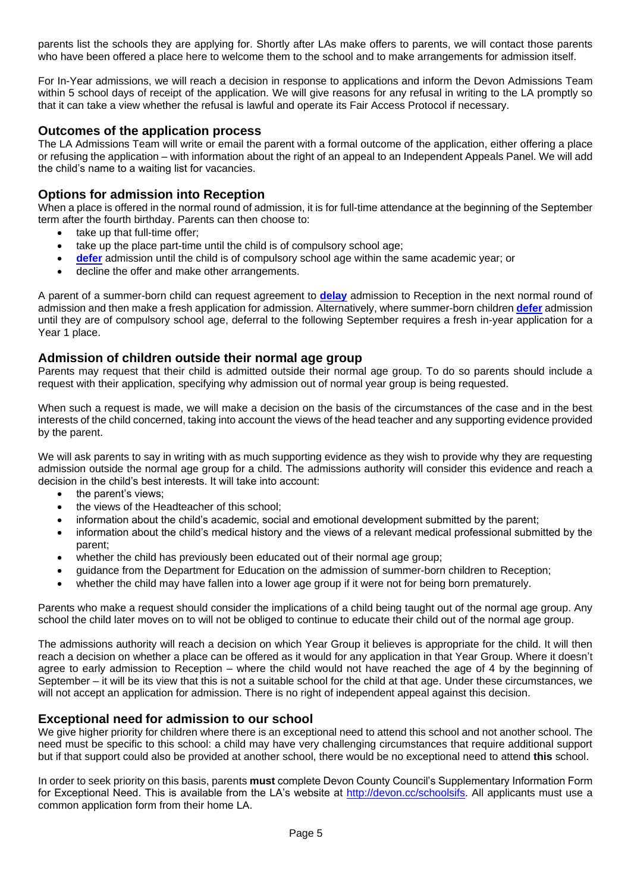parents list the schools they are applying for. Shortly after LAs make offers to parents, we will contact those parents who have been offered a place here to welcome them to the school and to make arrangements for admission itself.

For In-Year admissions, we will reach a decision in response to applications and inform the Devon Admissions Team within 5 school days of receipt of the application. We will give reasons for any refusal in writing to the LA promptly so that it can take a view whether the refusal is lawful and operate its Fair Access Protocol if necessary.

#### <span id="page-4-0"></span>**Outcomes of the application process**

The LA Admissions Team will write or email the parent with a formal outcome of the application, either offering a place or refusing the application – with information about the right of an appeal to an Independent Appeals Panel. We will add the child's name to a waiting list for vacancies.

### **Options for admission into Reception**

When a place is offered in the normal round of admission, it is for full-time attendance at the beginning of the September term after the fourth birthday. Parents can then choose to:

- take up that full-time offer;
- take up the place part-time until the child is of compulsory school age;
- **[defer](#page-8-0)** admission until the child is of compulsory school age within the same academic year; or
- decline the offer and make other arrangements.

A parent of a summer-born child can request agreement to **[delay](#page-9-0)** admission to Reception in the next normal round of admission and then make a fresh application for admission. Alternatively, where summer-born children **[defer](#page-8-0)** admission until they are of compulsory school age, deferral to the following September requires a fresh in-year application for a Year 1 place.

#### **Admission of children outside their normal age group**

Parents may request that their child is admitted outside their normal age group. To do so parents should include a request with their application, specifying why admission out of normal year group is being requested.

When such a request is made, we will make a decision on the basis of the circumstances of the case and in the best interests of the child concerned, taking into account the views of the head teacher and any supporting evidence provided by the parent.

We will ask parents to say in writing with as much supporting evidence as they wish to provide why they are requesting admission outside the normal age group for a child. The admissions authority will consider this evidence and reach a decision in the child's best interests. It will take into account:

- the parent's views:
- the views of the Headteacher of this school;
- information about the child's academic, social and emotional development submitted by the parent;
- information about the child's medical history and the views of a relevant medical professional submitted by the parent;
- whether the child has previously been educated out of their normal age group;
- guidance from the Department for Education on the admission of summer-born children to Reception;
- whether the child may have fallen into a lower age group if it were not for being born prematurely.

Parents who make a request should consider the implications of a child being taught out of the normal age group. Any school the child later moves on to will not be obliged to continue to educate their child out of the normal age group.

The admissions authority will reach a decision on which Year Group it believes is appropriate for the child. It will then reach a decision on whether a place can be offered as it would for any application in that Year Group. Where it doesn't agree to early admission to Reception – where the child would not have reached the age of 4 by the beginning of September – it will be its view that this is not a suitable school for the child at that age. Under these circumstances, we will not accept an application for admission. There is no right of independent appeal against this decision.

### **Exceptional need for admission to our school**

We give higher priority for children where there is an exceptional need to attend this school and not another school. The need must be specific to this school: a child may have very challenging circumstances that require additional support but if that support could also be provided at another school, there would be no exceptional need to attend **this** school.

In order to seek priority on this basis, parents **must** complete Devon County Council's Supplementary Information Form for Exceptional Need. This is available from the LA's website at [http://devon.cc/schoolsifs.](http://devon.cc/schoolsifs) All applicants must use a common application form from their home LA.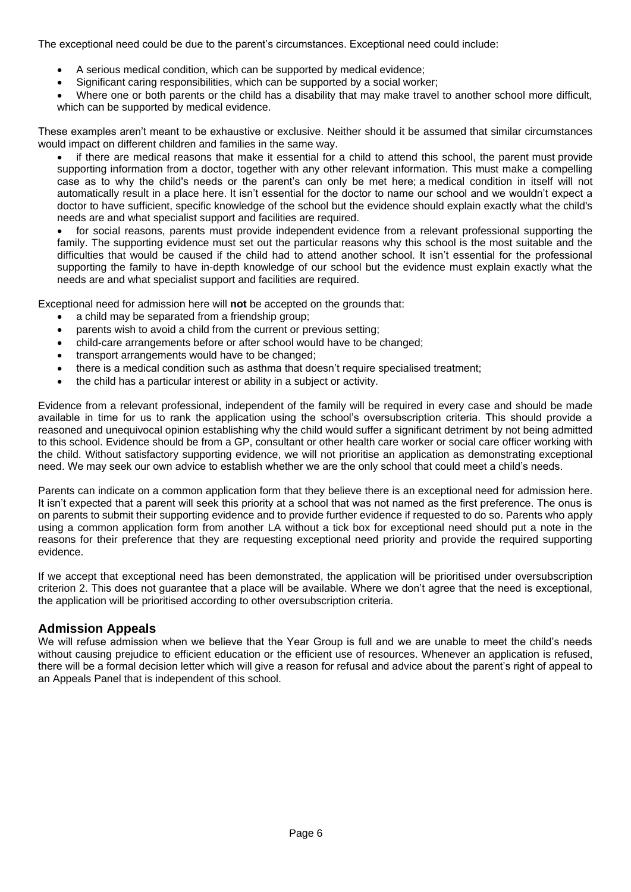The exceptional need could be due to the parent's circumstances. Exceptional need could include:

- A serious medical condition, which can be supported by medical evidence;
- Significant caring responsibilities, which can be supported by a social worker;
- Where one or both parents or the child has a disability that may make travel to another school more difficult, which can be supported by medical evidence.

These examples aren't meant to be exhaustive or exclusive. Neither should it be assumed that similar circumstances would impact on different children and families in the same way.

• if there are medical reasons that make it essential for a child to attend this school, the parent must provide supporting information from a doctor, together with any other relevant information. This must make a compelling case as to why the child's needs or the parent's can only be met here; a medical condition in itself will not automatically result in a place here. It isn't essential for the doctor to name our school and we wouldn't expect a doctor to have sufficient, specific knowledge of the school but the evidence should explain exactly what the child's needs are and what specialist support and facilities are required.

• for social reasons, parents must provide independent evidence from a relevant professional supporting the family. The supporting evidence must set out the particular reasons why this school is the most suitable and the difficulties that would be caused if the child had to attend another school. It isn't essential for the professional supporting the family to have in-depth knowledge of our school but the evidence must explain exactly what the needs are and what specialist support and facilities are required.

Exceptional need for admission here will **not** be accepted on the grounds that:

- a child may be separated from a friendship group;
- parents wish to avoid a child from the current or previous setting;
- child-care arrangements before or after school would have to be changed;
- transport arrangements would have to be changed;
- there is a medical condition such as asthma that doesn't require specialised treatment;
- the child has a particular interest or ability in a subject or activity.

Evidence from a relevant professional, independent of the family will be required in every case and should be made available in time for us to rank the application using the school's oversubscription criteria. This should provide a reasoned and unequivocal opinion establishing why the child would suffer a significant detriment by not being admitted to this school. Evidence should be from a GP, consultant or other health care worker or social care officer working with the child. Without satisfactory supporting evidence, we will not prioritise an application as demonstrating exceptional need. We may seek our own advice to establish whether we are the only school that could meet a child's needs.

Parents can indicate on a common application form that they believe there is an exceptional need for admission here. It isn't expected that a parent will seek this priority at a school that was not named as the first preference. The onus is on parents to submit their supporting evidence and to provide further evidence if requested to do so. Parents who apply using a common application form from another LA without a tick box for exceptional need should put a note in the reasons for their preference that they are requesting exceptional need priority and provide the required supporting evidence.

If we accept that exceptional need has been demonstrated, the application will be prioritised under oversubscription criterion 2. This does not guarantee that a place will be available. Where we don't agree that the need is exceptional, the application will be prioritised according to other oversubscription criteria.

### <span id="page-5-0"></span>**Admission Appeals**

<span id="page-5-1"></span>We will refuse admission when we believe that the Year Group is full and we are unable to meet the child's needs without causing prejudice to efficient education or the efficient use of resources. Whenever an application is refused, there will be a formal decision letter which will give a reason for refusal and advice about the parent's right of appeal to an Appeals Panel that is independent of this school.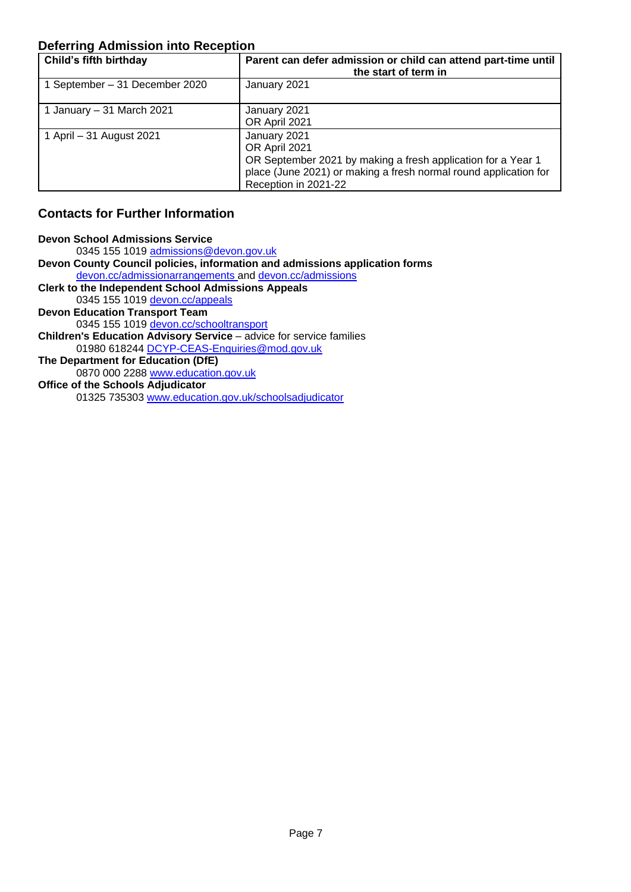## **Deferring Admission into Reception**

| Child's fifth birthday         | Parent can defer admission or child can attend part-time until<br>the start of term in                                                                                                    |
|--------------------------------|-------------------------------------------------------------------------------------------------------------------------------------------------------------------------------------------|
| 1 September – 31 December 2020 | January 2021                                                                                                                                                                              |
| 1 January - 31 March 2021      | January 2021<br>OR April 2021                                                                                                                                                             |
| 1 April – 31 August 2021       | January 2021<br>OR April 2021<br>OR September 2021 by making a fresh application for a Year 1<br>place (June 2021) or making a fresh normal round application for<br>Reception in 2021-22 |

## **Contacts for Further Information**

| <b>Devon School Admissions Service</b>                                      |
|-----------------------------------------------------------------------------|
| 0345 155 1019 admissions@devon.gov.uk                                       |
| Devon County Council policies, information and admissions application forms |
| devon.cc/admissionarrangements and devon.cc/admissions                      |
| <b>Clerk to the Independent School Admissions Appeals</b>                   |
| 0345 155 1019 devon.cc/appeals                                              |
| <b>Devon Education Transport Team</b>                                       |
| 0345 155 1019 devon.cc/schooltransport                                      |
| <b>Children's Education Advisory Service - advice for service families</b>  |
| 01980 618244 DCYP-CEAS-Enquiries@mod.gov.uk                                 |
| The Department for Education (DfE)                                          |
| 0870 000 2288 www.education.gov.uk                                          |
| <b>Office of the Schools Adjudicator</b>                                    |
| 01325 735303 www.education.gov.uk/schoolsadjudicator                        |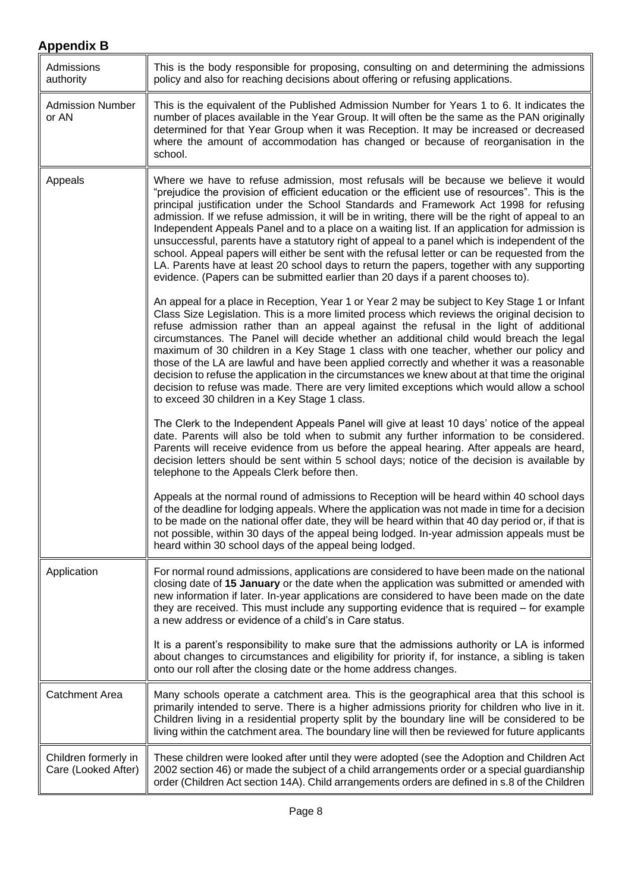<span id="page-7-0"></span>

| Admissions<br>authority                     | This is the body responsible for proposing, consulting on and determining the admissions<br>policy and also for reaching decisions about offering or refusing applications.                                                                                                                                                                                                                                                                                                                                                                                                                                                                                                                                                                                                                                                                                                    |
|---------------------------------------------|--------------------------------------------------------------------------------------------------------------------------------------------------------------------------------------------------------------------------------------------------------------------------------------------------------------------------------------------------------------------------------------------------------------------------------------------------------------------------------------------------------------------------------------------------------------------------------------------------------------------------------------------------------------------------------------------------------------------------------------------------------------------------------------------------------------------------------------------------------------------------------|
| <b>Admission Number</b><br>or AN            | This is the equivalent of the Published Admission Number for Years 1 to 6. It indicates the<br>number of places available in the Year Group. It will often be the same as the PAN originally<br>determined for that Year Group when it was Reception. It may be increased or decreased<br>where the amount of accommodation has changed or because of reorganisation in the<br>school.                                                                                                                                                                                                                                                                                                                                                                                                                                                                                         |
| Appeals                                     | Where we have to refuse admission, most refusals will be because we believe it would<br>"prejudice the provision of efficient education or the efficient use of resources". This is the<br>principal justification under the School Standards and Framework Act 1998 for refusing<br>admission. If we refuse admission, it will be in writing, there will be the right of appeal to an<br>Independent Appeals Panel and to a place on a waiting list. If an application for admission is<br>unsuccessful, parents have a statutory right of appeal to a panel which is independent of the<br>school. Appeal papers will either be sent with the refusal letter or can be requested from the<br>LA. Parents have at least 20 school days to return the papers, together with any supporting<br>evidence. (Papers can be submitted earlier than 20 days if a parent chooses to). |
|                                             | An appeal for a place in Reception, Year 1 or Year 2 may be subject to Key Stage 1 or Infant<br>Class Size Legislation. This is a more limited process which reviews the original decision to<br>refuse admission rather than an appeal against the refusal in the light of additional<br>circumstances. The Panel will decide whether an additional child would breach the legal<br>maximum of 30 children in a Key Stage 1 class with one teacher, whether our policy and<br>those of the LA are lawful and have been applied correctly and whether it was a reasonable<br>decision to refuse the application in the circumstances we knew about at that time the original<br>decision to refuse was made. There are very limited exceptions which would allow a school<br>to exceed 30 children in a Key Stage 1 class.                                                     |
|                                             | The Clerk to the Independent Appeals Panel will give at least 10 days' notice of the appeal<br>date. Parents will also be told when to submit any further information to be considered.<br>Parents will receive evidence from us before the appeal hearing. After appeals are heard,<br>decision letters should be sent within 5 school days; notice of the decision is available by<br>telephone to the Appeals Clerk before then.                                                                                                                                                                                                                                                                                                                                                                                                                                            |
|                                             | Appeals at the normal round of admissions to Reception will be heard within 40 school days<br>of the deadline for lodging appeals. Where the application was not made in time for a decision<br>to be made on the national offer date, they will be heard within that 40 day period or, if that is<br>not possible, within 30 days of the appeal being lodged. In-year admission appeals must be<br>heard within 30 school days of the appeal being lodged.                                                                                                                                                                                                                                                                                                                                                                                                                    |
| Application                                 | For normal round admissions, applications are considered to have been made on the national<br>closing date of 15 January or the date when the application was submitted or amended with<br>new information if later. In-year applications are considered to have been made on the date<br>they are received. This must include any supporting evidence that is required - for example<br>a new address or evidence of a child's in Care status.                                                                                                                                                                                                                                                                                                                                                                                                                                |
|                                             | It is a parent's responsibility to make sure that the admissions authority or LA is informed<br>about changes to circumstances and eligibility for priority if, for instance, a sibling is taken<br>onto our roll after the closing date or the home address changes.                                                                                                                                                                                                                                                                                                                                                                                                                                                                                                                                                                                                          |
| <b>Catchment Area</b>                       | Many schools operate a catchment area. This is the geographical area that this school is<br>primarily intended to serve. There is a higher admissions priority for children who live in it.<br>Children living in a residential property split by the boundary line will be considered to be<br>living within the catchment area. The boundary line will then be reviewed for future applicants                                                                                                                                                                                                                                                                                                                                                                                                                                                                                |
| Children formerly in<br>Care (Looked After) | These children were looked after until they were adopted (see the Adoption and Children Act<br>2002 section 46) or made the subject of a child arrangements order or a special guardianship<br>order (Children Act section 14A). Child arrangements orders are defined in s.8 of the Children                                                                                                                                                                                                                                                                                                                                                                                                                                                                                                                                                                                  |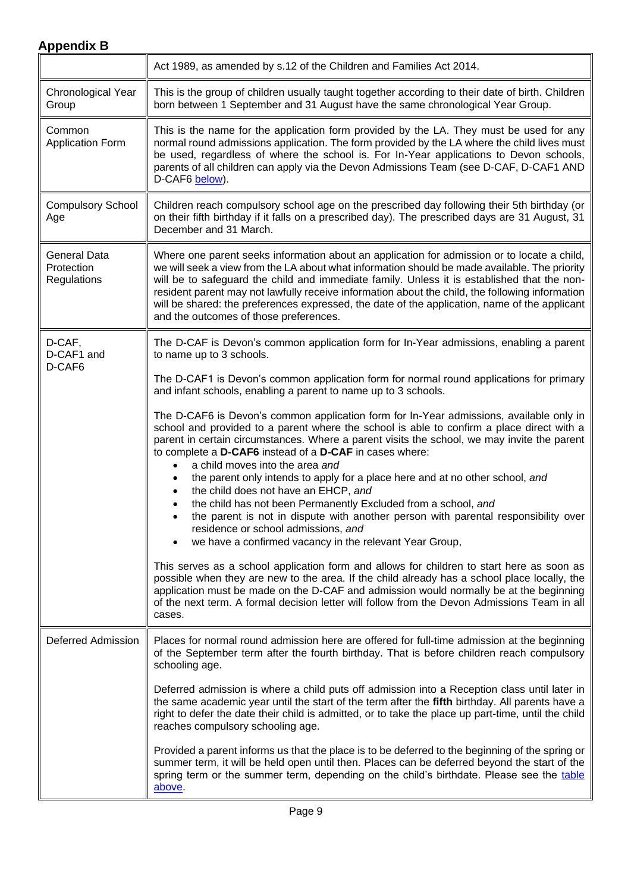<span id="page-8-1"></span><span id="page-8-0"></span>

|                                                         | Act 1989, as amended by s.12 of the Children and Families Act 2014.                                                                                                                                                                                                                                                                                                                                                                                                                                                                       |
|---------------------------------------------------------|-------------------------------------------------------------------------------------------------------------------------------------------------------------------------------------------------------------------------------------------------------------------------------------------------------------------------------------------------------------------------------------------------------------------------------------------------------------------------------------------------------------------------------------------|
| Chronological Year<br>Group                             | This is the group of children usually taught together according to their date of birth. Children<br>born between 1 September and 31 August have the same chronological Year Group.                                                                                                                                                                                                                                                                                                                                                        |
| Common<br><b>Application Form</b>                       | This is the name for the application form provided by the LA. They must be used for any<br>normal round admissions application. The form provided by the LA where the child lives must<br>be used, regardless of where the school is. For In-Year applications to Devon schools,<br>parents of all children can apply via the Devon Admissions Team (see D-CAF, D-CAF1 AND<br>D-CAF6 below).                                                                                                                                              |
| <b>Compulsory School</b><br>Age                         | Children reach compulsory school age on the prescribed day following their 5th birthday (or<br>on their fifth birthday if it falls on a prescribed day). The prescribed days are 31 August, 31<br>December and 31 March.                                                                                                                                                                                                                                                                                                                  |
| <b>General Data</b><br>Protection<br><b>Regulations</b> | Where one parent seeks information about an application for admission or to locate a child,<br>we will seek a view from the LA about what information should be made available. The priority<br>will be to safeguard the child and immediate family. Unless it is established that the non-<br>resident parent may not lawfully receive information about the child, the following information<br>will be shared: the preferences expressed, the date of the application, name of the applicant<br>and the outcomes of those preferences. |
| D-CAF,<br>D-CAF1 and<br>D-CAF6                          | The D-CAF is Devon's common application form for In-Year admissions, enabling a parent<br>to name up to 3 schools.                                                                                                                                                                                                                                                                                                                                                                                                                        |
|                                                         | The D-CAF1 is Devon's common application form for normal round applications for primary<br>and infant schools, enabling a parent to name up to 3 schools.                                                                                                                                                                                                                                                                                                                                                                                 |
|                                                         | The D-CAF6 is Devon's common application form for In-Year admissions, available only in<br>school and provided to a parent where the school is able to confirm a place direct with a<br>parent in certain circumstances. Where a parent visits the school, we may invite the parent<br>to complete a D-CAF6 instead of a D-CAF in cases where:<br>a child moves into the area and<br>$\bullet$                                                                                                                                            |
|                                                         | the parent only intends to apply for a place here and at no other school, and<br>the child does not have an EHCP, and<br>the child has not been Permanently Excluded from a school, and<br>the parent is not in dispute with another person with parental responsibility over<br>residence or school admissions, and<br>we have a confirmed vacancy in the relevant Year Group,                                                                                                                                                           |
|                                                         | This serves as a school application form and allows for children to start here as soon as<br>possible when they are new to the area. If the child already has a school place locally, the<br>application must be made on the D-CAF and admission would normally be at the beginning<br>of the next term. A formal decision letter will follow from the Devon Admissions Team in all<br>cases.                                                                                                                                             |
| Deferred Admission                                      | Places for normal round admission here are offered for full-time admission at the beginning<br>of the September term after the fourth birthday. That is before children reach compulsory<br>schooling age.                                                                                                                                                                                                                                                                                                                                |
|                                                         | Deferred admission is where a child puts off admission into a Reception class until later in<br>the same academic year until the start of the term after the fifth birthday. All parents have a<br>right to defer the date their child is admitted, or to take the place up part-time, until the child<br>reaches compulsory schooling age.                                                                                                                                                                                               |
|                                                         | Provided a parent informs us that the place is to be deferred to the beginning of the spring or<br>summer term, it will be held open until then. Places can be deferred beyond the start of the<br>spring term or the summer term, depending on the child's birthdate. Please see the table<br>above                                                                                                                                                                                                                                      |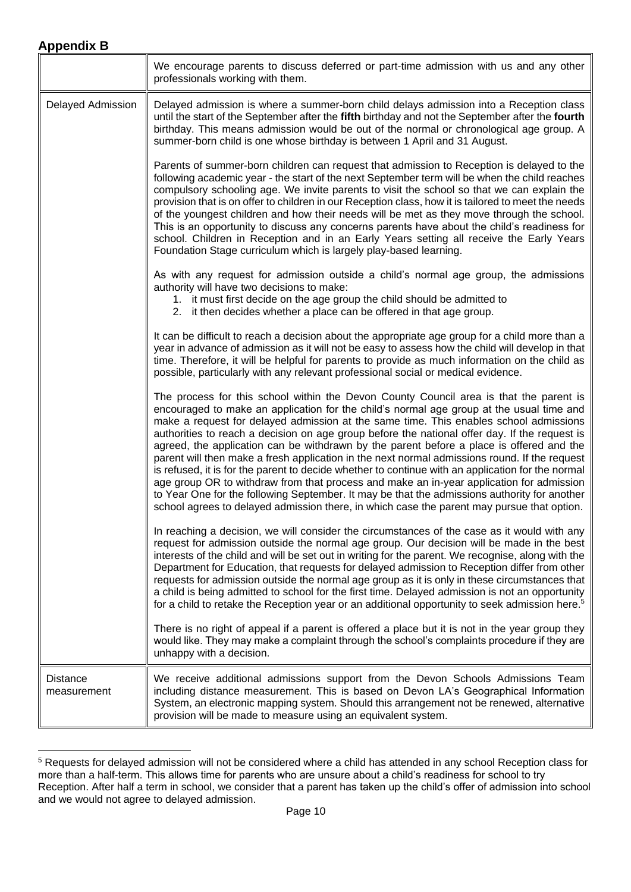<span id="page-9-0"></span>

| <b>Appendix B</b>              |                                                                                                                                                                                                                                                                                                                                                                                                                                                                                                                                                                                                                                                                                                                                                                                                                                                                                                                                                                          |  |
|--------------------------------|--------------------------------------------------------------------------------------------------------------------------------------------------------------------------------------------------------------------------------------------------------------------------------------------------------------------------------------------------------------------------------------------------------------------------------------------------------------------------------------------------------------------------------------------------------------------------------------------------------------------------------------------------------------------------------------------------------------------------------------------------------------------------------------------------------------------------------------------------------------------------------------------------------------------------------------------------------------------------|--|
|                                | We encourage parents to discuss deferred or part-time admission with us and any other<br>professionals working with them.                                                                                                                                                                                                                                                                                                                                                                                                                                                                                                                                                                                                                                                                                                                                                                                                                                                |  |
| Delayed Admission              | Delayed admission is where a summer-born child delays admission into a Reception class<br>until the start of the September after the fifth birthday and not the September after the fourth<br>birthday. This means admission would be out of the normal or chronological age group. A<br>summer-born child is one whose birthday is between 1 April and 31 August.                                                                                                                                                                                                                                                                                                                                                                                                                                                                                                                                                                                                       |  |
|                                | Parents of summer-born children can request that admission to Reception is delayed to the<br>following academic year - the start of the next September term will be when the child reaches<br>compulsory schooling age. We invite parents to visit the school so that we can explain the<br>provision that is on offer to children in our Reception class, how it is tailored to meet the needs<br>of the youngest children and how their needs will be met as they move through the school.<br>This is an opportunity to discuss any concerns parents have about the child's readiness for<br>school. Children in Reception and in an Early Years setting all receive the Early Years<br>Foundation Stage curriculum which is largely play-based learning.                                                                                                                                                                                                              |  |
|                                | As with any request for admission outside a child's normal age group, the admissions<br>authority will have two decisions to make:<br>1. it must first decide on the age group the child should be admitted to<br>2. it then decides whether a place can be offered in that age group.                                                                                                                                                                                                                                                                                                                                                                                                                                                                                                                                                                                                                                                                                   |  |
|                                | It can be difficult to reach a decision about the appropriate age group for a child more than a<br>year in advance of admission as it will not be easy to assess how the child will develop in that<br>time. Therefore, it will be helpful for parents to provide as much information on the child as<br>possible, particularly with any relevant professional social or medical evidence.                                                                                                                                                                                                                                                                                                                                                                                                                                                                                                                                                                               |  |
|                                | The process for this school within the Devon County Council area is that the parent is<br>encouraged to make an application for the child's normal age group at the usual time and<br>make a request for delayed admission at the same time. This enables school admissions<br>authorities to reach a decision on age group before the national offer day. If the request is<br>agreed, the application can be withdrawn by the parent before a place is offered and the<br>parent will then make a fresh application in the next normal admissions round. If the request<br>is refused, it is for the parent to decide whether to continue with an application for the normal<br>age group OR to withdraw from that process and make an in-year application for admission<br>to Year One for the following September. It may be that the admissions authority for another<br>school agrees to delayed admission there, in which case the parent may pursue that option. |  |
|                                | In reaching a decision, we will consider the circumstances of the case as it would with any<br>request for admission outside the normal age group. Our decision will be made in the best<br>interests of the child and will be set out in writing for the parent. We recognise, along with the<br>Department for Education, that requests for delayed admission to Reception differ from other<br>requests for admission outside the normal age group as it is only in these circumstances that<br>a child is being admitted to school for the first time. Delayed admission is not an opportunity<br>for a child to retake the Reception year or an additional opportunity to seek admission here. <sup>5</sup>                                                                                                                                                                                                                                                         |  |
|                                | There is no right of appeal if a parent is offered a place but it is not in the year group they<br>would like. They may make a complaint through the school's complaints procedure if they are<br>unhappy with a decision.                                                                                                                                                                                                                                                                                                                                                                                                                                                                                                                                                                                                                                                                                                                                               |  |
| <b>Distance</b><br>measurement | We receive additional admissions support from the Devon Schools Admissions Team<br>including distance measurement. This is based on Devon LA's Geographical Information<br>System, an electronic mapping system. Should this arrangement not be renewed, alternative<br>provision will be made to measure using an equivalent system.                                                                                                                                                                                                                                                                                                                                                                                                                                                                                                                                                                                                                                    |  |

<sup>5</sup> Requests for delayed admission will not be considered where a child has attended in any school Reception class for more than a half-term. This allows time for parents who are unsure about a child's readiness for school to try Reception. After half a term in school, we consider that a parent has taken up the child's offer of admission into school and we would not agree to delayed admission.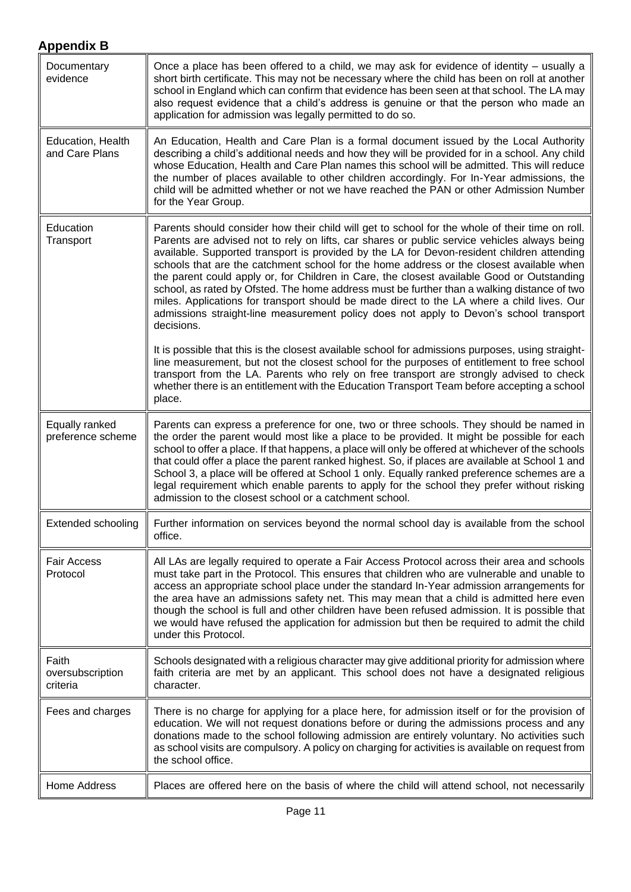<span id="page-10-0"></span>

| Documentary<br>evidence               | Once a place has been offered to a child, we may ask for evidence of identity – usually a<br>short birth certificate. This may not be necessary where the child has been on roll at another<br>school in England which can confirm that evidence has been seen at that school. The LA may<br>also request evidence that a child's address is genuine or that the person who made an<br>application for admission was legally permitted to do so.                                                                                                                                                                                                                                                                                                                                             |
|---------------------------------------|----------------------------------------------------------------------------------------------------------------------------------------------------------------------------------------------------------------------------------------------------------------------------------------------------------------------------------------------------------------------------------------------------------------------------------------------------------------------------------------------------------------------------------------------------------------------------------------------------------------------------------------------------------------------------------------------------------------------------------------------------------------------------------------------|
| Education, Health<br>and Care Plans   | An Education, Health and Care Plan is a formal document issued by the Local Authority<br>describing a child's additional needs and how they will be provided for in a school. Any child<br>whose Education, Health and Care Plan names this school will be admitted. This will reduce<br>the number of places available to other children accordingly. For In-Year admissions, the<br>child will be admitted whether or not we have reached the PAN or other Admission Number<br>for the Year Group.                                                                                                                                                                                                                                                                                         |
| Education<br>Transport                | Parents should consider how their child will get to school for the whole of their time on roll.<br>Parents are advised not to rely on lifts, car shares or public service vehicles always being<br>available. Supported transport is provided by the LA for Devon-resident children attending<br>schools that are the catchment school for the home address or the closest available when<br>the parent could apply or, for Children in Care, the closest available Good or Outstanding<br>school, as rated by Ofsted. The home address must be further than a walking distance of two<br>miles. Applications for transport should be made direct to the LA where a child lives. Our<br>admissions straight-line measurement policy does not apply to Devon's school transport<br>decisions. |
|                                       | It is possible that this is the closest available school for admissions purposes, using straight-<br>line measurement, but not the closest school for the purposes of entitlement to free school<br>transport from the LA. Parents who rely on free transport are strongly advised to check<br>whether there is an entitlement with the Education Transport Team before accepting a school<br>place.                                                                                                                                                                                                                                                                                                                                                                                         |
| Equally ranked<br>preference scheme   | Parents can express a preference for one, two or three schools. They should be named in<br>the order the parent would most like a place to be provided. It might be possible for each<br>school to offer a place. If that happens, a place will only be offered at whichever of the schools<br>that could offer a place the parent ranked highest. So, if places are available at School 1 and<br>School 3, a place will be offered at School 1 only. Equally ranked preference schemes are a<br>legal requirement which enable parents to apply for the school they prefer without risking<br>admission to the closest school or a catchment school.                                                                                                                                        |
| Extended schooling                    | Further information on services beyond the normal school day is available from the school<br>office.                                                                                                                                                                                                                                                                                                                                                                                                                                                                                                                                                                                                                                                                                         |
| <b>Fair Access</b><br>Protocol        | All LAs are legally required to operate a Fair Access Protocol across their area and schools<br>must take part in the Protocol. This ensures that children who are vulnerable and unable to<br>access an appropriate school place under the standard In-Year admission arrangements for<br>the area have an admissions safety net. This may mean that a child is admitted here even<br>though the school is full and other children have been refused admission. It is possible that<br>we would have refused the application for admission but then be required to admit the child<br>under this Protocol.                                                                                                                                                                                  |
| Faith<br>oversubscription<br>criteria | Schools designated with a religious character may give additional priority for admission where<br>faith criteria are met by an applicant. This school does not have a designated religious<br>character.                                                                                                                                                                                                                                                                                                                                                                                                                                                                                                                                                                                     |
| Fees and charges                      | There is no charge for applying for a place here, for admission itself or for the provision of<br>education. We will not request donations before or during the admissions process and any<br>donations made to the school following admission are entirely voluntary. No activities such<br>as school visits are compulsory. A policy on charging for activities is available on request from<br>the school office.                                                                                                                                                                                                                                                                                                                                                                         |
| <b>Home Address</b>                   | Places are offered here on the basis of where the child will attend school, not necessarily                                                                                                                                                                                                                                                                                                                                                                                                                                                                                                                                                                                                                                                                                                  |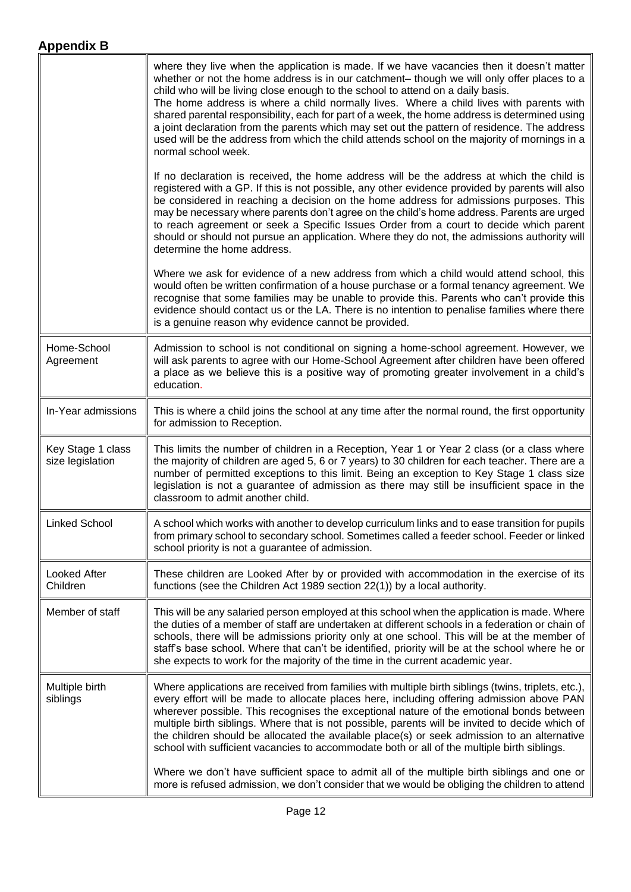<span id="page-11-1"></span><span id="page-11-0"></span>

|                                       | where they live when the application is made. If we have vacancies then it doesn't matter<br>whether or not the home address is in our catchment- though we will only offer places to a<br>child who will be living close enough to the school to attend on a daily basis.<br>The home address is where a child normally lives. Where a child lives with parents with<br>shared parental responsibility, each for part of a week, the home address is determined using<br>a joint declaration from the parents which may set out the pattern of residence. The address<br>used will be the address from which the child attends school on the majority of mornings in a<br>normal school week. |
|---------------------------------------|------------------------------------------------------------------------------------------------------------------------------------------------------------------------------------------------------------------------------------------------------------------------------------------------------------------------------------------------------------------------------------------------------------------------------------------------------------------------------------------------------------------------------------------------------------------------------------------------------------------------------------------------------------------------------------------------|
|                                       | If no declaration is received, the home address will be the address at which the child is<br>registered with a GP. If this is not possible, any other evidence provided by parents will also<br>be considered in reaching a decision on the home address for admissions purposes. This<br>may be necessary where parents don't agree on the child's home address. Parents are urged<br>to reach agreement or seek a Specific Issues Order from a court to decide which parent<br>should or should not pursue an application. Where they do not, the admissions authority will<br>determine the home address.                                                                                   |
|                                       | Where we ask for evidence of a new address from which a child would attend school, this<br>would often be written confirmation of a house purchase or a formal tenancy agreement. We<br>recognise that some families may be unable to provide this. Parents who can't provide this<br>evidence should contact us or the LA. There is no intention to penalise families where there<br>is a genuine reason why evidence cannot be provided.                                                                                                                                                                                                                                                     |
| Home-School<br>Agreement              | Admission to school is not conditional on signing a home-school agreement. However, we<br>will ask parents to agree with our Home-School Agreement after children have been offered<br>a place as we believe this is a positive way of promoting greater involvement in a child's<br>education.                                                                                                                                                                                                                                                                                                                                                                                                |
| In-Year admissions                    | This is where a child joins the school at any time after the normal round, the first opportunity<br>for admission to Reception.                                                                                                                                                                                                                                                                                                                                                                                                                                                                                                                                                                |
| Key Stage 1 class<br>size legislation | This limits the number of children in a Reception, Year 1 or Year 2 class (or a class where<br>the majority of children are aged 5, 6 or 7 years) to 30 children for each teacher. There are a<br>number of permitted exceptions to this limit. Being an exception to Key Stage 1 class size<br>legislation is not a guarantee of admission as there may still be insufficient space in the<br>classroom to admit another child.                                                                                                                                                                                                                                                               |
| <b>Linked School</b>                  | A school which works with another to develop curriculum links and to ease transition for pupils<br>from primary school to secondary school. Sometimes called a feeder school. Feeder or linked<br>school priority is not a guarantee of admission.                                                                                                                                                                                                                                                                                                                                                                                                                                             |
| <b>Looked After</b><br>Children       | These children are Looked After by or provided with accommodation in the exercise of its<br>functions (see the Children Act 1989 section 22(1)) by a local authority.                                                                                                                                                                                                                                                                                                                                                                                                                                                                                                                          |
| Member of staff                       | This will be any salaried person employed at this school when the application is made. Where<br>the duties of a member of staff are undertaken at different schools in a federation or chain of<br>schools, there will be admissions priority only at one school. This will be at the member of<br>staff's base school. Where that can't be identified, priority will be at the school where he or<br>she expects to work for the majority of the time in the current academic year.                                                                                                                                                                                                           |
| Multiple birth<br>siblings            | Where applications are received from families with multiple birth siblings (twins, triplets, etc.),<br>every effort will be made to allocate places here, including offering admission above PAN<br>wherever possible. This recognises the exceptional nature of the emotional bonds between<br>multiple birth siblings. Where that is not possible, parents will be invited to decide which of<br>the children should be allocated the available place(s) or seek admission to an alternative<br>school with sufficient vacancies to accommodate both or all of the multiple birth siblings.                                                                                                  |
|                                       | Where we don't have sufficient space to admit all of the multiple birth siblings and one or<br>more is refused admission, we don't consider that we would be obliging the children to attend                                                                                                                                                                                                                                                                                                                                                                                                                                                                                                   |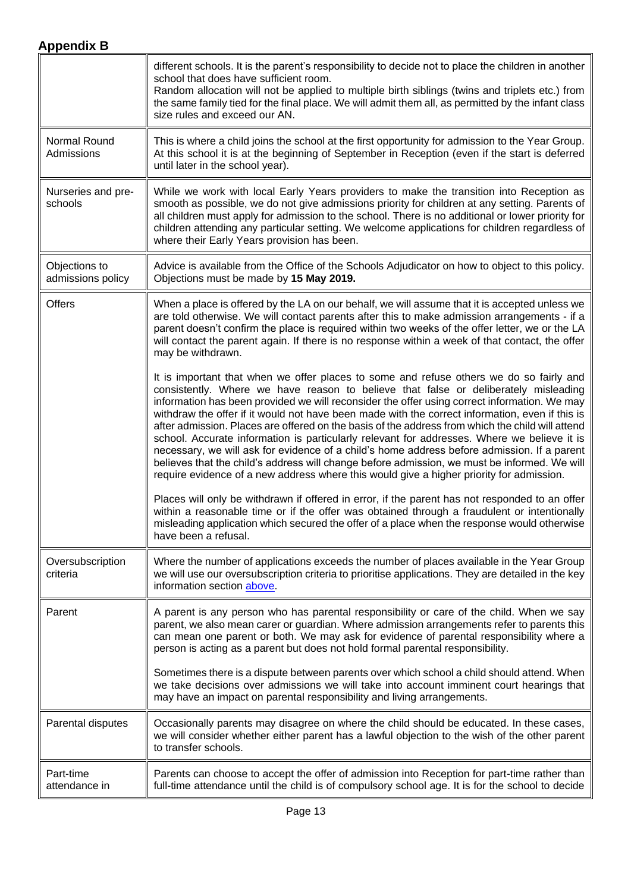|                                    | different schools. It is the parent's responsibility to decide not to place the children in another<br>school that does have sufficient room.<br>Random allocation will not be applied to multiple birth siblings (twins and triplets etc.) from<br>the same family tied for the final place. We will admit them all, as permitted by the infant class<br>size rules and exceed our AN.                                                                                                                                                                                                                                                                                                                                                                                                                                                                                         |
|------------------------------------|---------------------------------------------------------------------------------------------------------------------------------------------------------------------------------------------------------------------------------------------------------------------------------------------------------------------------------------------------------------------------------------------------------------------------------------------------------------------------------------------------------------------------------------------------------------------------------------------------------------------------------------------------------------------------------------------------------------------------------------------------------------------------------------------------------------------------------------------------------------------------------|
| Normal Round<br>Admissions         | This is where a child joins the school at the first opportunity for admission to the Year Group.<br>At this school it is at the beginning of September in Reception (even if the start is deferred<br>until later in the school year).                                                                                                                                                                                                                                                                                                                                                                                                                                                                                                                                                                                                                                          |
| Nurseries and pre-<br>schools      | While we work with local Early Years providers to make the transition into Reception as<br>smooth as possible, we do not give admissions priority for children at any setting. Parents of<br>all children must apply for admission to the school. There is no additional or lower priority for<br>children attending any particular setting. We welcome applications for children regardless of<br>where their Early Years provision has been.                                                                                                                                                                                                                                                                                                                                                                                                                                  |
| Objections to<br>admissions policy | Advice is available from the Office of the Schools Adjudicator on how to object to this policy.<br>Objections must be made by 15 May 2019.                                                                                                                                                                                                                                                                                                                                                                                                                                                                                                                                                                                                                                                                                                                                      |
| <b>Offers</b>                      | When a place is offered by the LA on our behalf, we will assume that it is accepted unless we<br>are told otherwise. We will contact parents after this to make admission arrangements - if a<br>parent doesn't confirm the place is required within two weeks of the offer letter, we or the LA<br>will contact the parent again. If there is no response within a week of that contact, the offer<br>may be withdrawn.                                                                                                                                                                                                                                                                                                                                                                                                                                                        |
|                                    | It is important that when we offer places to some and refuse others we do so fairly and<br>consistently. Where we have reason to believe that false or deliberately misleading<br>information has been provided we will reconsider the offer using correct information. We may<br>withdraw the offer if it would not have been made with the correct information, even if this is<br>after admission. Places are offered on the basis of the address from which the child will attend<br>school. Accurate information is particularly relevant for addresses. Where we believe it is<br>necessary, we will ask for evidence of a child's home address before admission. If a parent<br>believes that the child's address will change before admission, we must be informed. We will<br>require evidence of a new address where this would give a higher priority for admission. |
|                                    | Places will only be withdrawn if offered in error, if the parent has not responded to an offer<br>within a reasonable time or if the offer was obtained through a fraudulent or intentionally<br>misleading application which secured the offer of a place when the response would otherwise<br>have been a refusal.                                                                                                                                                                                                                                                                                                                                                                                                                                                                                                                                                            |
| Oversubscription<br>criteria       | Where the number of applications exceeds the number of places available in the Year Group<br>we will use our oversubscription criteria to prioritise applications. They are detailed in the key<br>information section above.                                                                                                                                                                                                                                                                                                                                                                                                                                                                                                                                                                                                                                                   |
| Parent                             | A parent is any person who has parental responsibility or care of the child. When we say<br>parent, we also mean carer or guardian. Where admission arrangements refer to parents this<br>can mean one parent or both. We may ask for evidence of parental responsibility where a<br>person is acting as a parent but does not hold formal parental responsibility.                                                                                                                                                                                                                                                                                                                                                                                                                                                                                                             |
|                                    | Sometimes there is a dispute between parents over which school a child should attend. When<br>we take decisions over admissions we will take into account imminent court hearings that<br>may have an impact on parental responsibility and living arrangements.                                                                                                                                                                                                                                                                                                                                                                                                                                                                                                                                                                                                                |
| Parental disputes                  | Occasionally parents may disagree on where the child should be educated. In these cases,<br>we will consider whether either parent has a lawful objection to the wish of the other parent<br>to transfer schools.                                                                                                                                                                                                                                                                                                                                                                                                                                                                                                                                                                                                                                                               |
| Part-time<br>attendance in         | Parents can choose to accept the offer of admission into Reception for part-time rather than<br>full-time attendance until the child is of compulsory school age. It is for the school to decide                                                                                                                                                                                                                                                                                                                                                                                                                                                                                                                                                                                                                                                                                |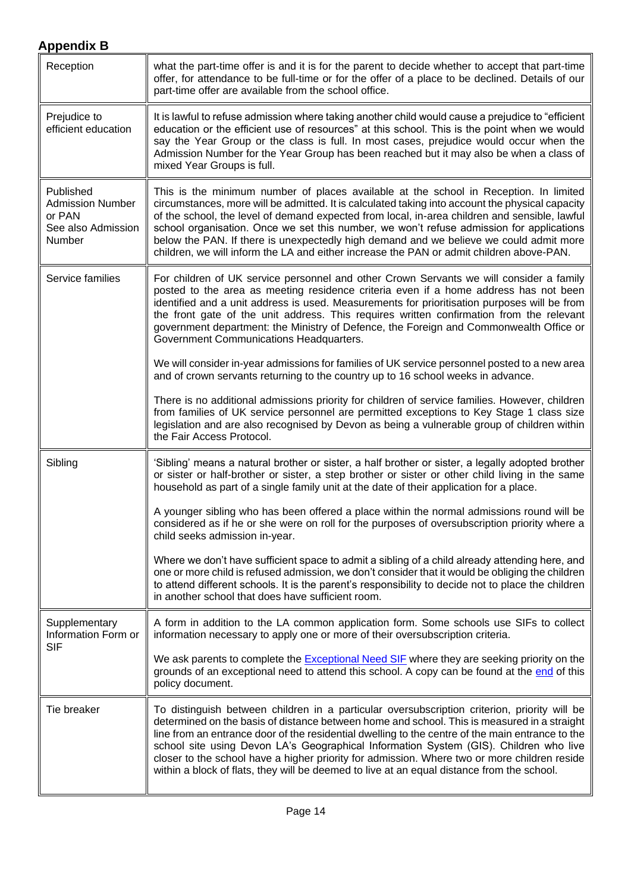<span id="page-13-2"></span><span id="page-13-1"></span><span id="page-13-0"></span>

| Reception                                                                      | what the part-time offer is and it is for the parent to decide whether to accept that part-time<br>offer, for attendance to be full-time or for the offer of a place to be declined. Details of our<br>part-time offer are available from the school office.                                                                                                                                                                                                                                                                                                                 |
|--------------------------------------------------------------------------------|------------------------------------------------------------------------------------------------------------------------------------------------------------------------------------------------------------------------------------------------------------------------------------------------------------------------------------------------------------------------------------------------------------------------------------------------------------------------------------------------------------------------------------------------------------------------------|
| Prejudice to<br>efficient education                                            | It is lawful to refuse admission where taking another child would cause a prejudice to "efficient"<br>education or the efficient use of resources" at this school. This is the point when we would<br>say the Year Group or the class is full. In most cases, prejudice would occur when the<br>Admission Number for the Year Group has been reached but it may also be when a class of<br>mixed Year Groups is full.                                                                                                                                                        |
| Published<br><b>Admission Number</b><br>or PAN<br>See also Admission<br>Number | This is the minimum number of places available at the school in Reception. In limited<br>circumstances, more will be admitted. It is calculated taking into account the physical capacity<br>of the school, the level of demand expected from local, in-area children and sensible, lawful<br>school organisation. Once we set this number, we won't refuse admission for applications<br>below the PAN. If there is unexpectedly high demand and we believe we could admit more<br>children, we will inform the LA and either increase the PAN or admit children above-PAN. |
| Service families                                                               | For children of UK service personnel and other Crown Servants we will consider a family<br>posted to the area as meeting residence criteria even if a home address has not been<br>identified and a unit address is used. Measurements for prioritisation purposes will be from<br>the front gate of the unit address. This requires written confirmation from the relevant<br>government department: the Ministry of Defence, the Foreign and Commonwealth Office or<br>Government Communications Headquarters.                                                             |
|                                                                                | We will consider in-year admissions for families of UK service personnel posted to a new area<br>and of crown servants returning to the country up to 16 school weeks in advance.                                                                                                                                                                                                                                                                                                                                                                                            |
|                                                                                | There is no additional admissions priority for children of service families. However, children<br>from families of UK service personnel are permitted exceptions to Key Stage 1 class size<br>legislation and are also recognised by Devon as being a vulnerable group of children within<br>the Fair Access Protocol.                                                                                                                                                                                                                                                       |
| Sibling                                                                        | 'Sibling' means a natural brother or sister, a half brother or sister, a legally adopted brother<br>or sister or half-brother or sister, a step brother or sister or other child living in the same<br>household as part of a single family unit at the date of their application for a place.                                                                                                                                                                                                                                                                               |
|                                                                                | A younger sibling who has been offered a place within the normal admissions round will be<br>considered as if he or she were on roll for the purposes of oversubscription priority where a<br>child seeks admission in-year.                                                                                                                                                                                                                                                                                                                                                 |
|                                                                                | Where we don't have sufficient space to admit a sibling of a child already attending here, and<br>one or more child is refused admission, we don't consider that it would be obliging the children<br>to attend different schools. It is the parent's responsibility to decide not to place the children<br>in another school that does have sufficient room.                                                                                                                                                                                                                |
| Supplementary<br>Information Form or<br><b>SIF</b>                             | A form in addition to the LA common application form. Some schools use SIFs to collect<br>information necessary to apply one or more of their oversubscription criteria.                                                                                                                                                                                                                                                                                                                                                                                                     |
|                                                                                | We ask parents to complete the <b>Exceptional Need SIF</b> where they are seeking priority on the<br>grounds of an exceptional need to attend this school. A copy can be found at the end of this<br>policy document.                                                                                                                                                                                                                                                                                                                                                        |
| Tie breaker                                                                    | To distinguish between children in a particular oversubscription criterion, priority will be<br>determined on the basis of distance between home and school. This is measured in a straight                                                                                                                                                                                                                                                                                                                                                                                  |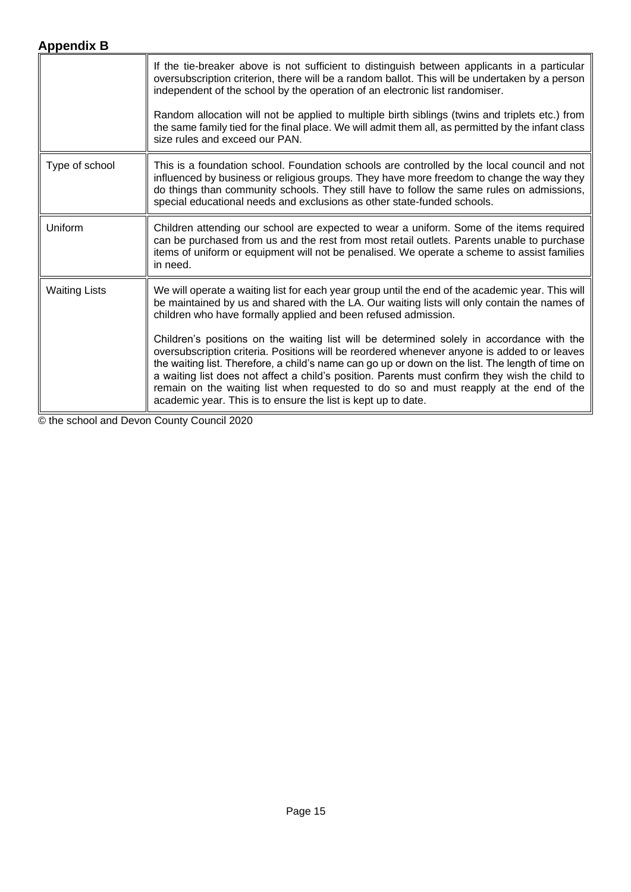<span id="page-14-0"></span>

|                      | If the tie-breaker above is not sufficient to distinguish between applicants in a particular<br>oversubscription criterion, there will be a random ballot. This will be undertaken by a person<br>independent of the school by the operation of an electronic list randomiser.                                                                                                                                                                                                                                                                            |
|----------------------|-----------------------------------------------------------------------------------------------------------------------------------------------------------------------------------------------------------------------------------------------------------------------------------------------------------------------------------------------------------------------------------------------------------------------------------------------------------------------------------------------------------------------------------------------------------|
|                      | Random allocation will not be applied to multiple birth siblings (twins and triplets etc.) from<br>the same family tied for the final place. We will admit them all, as permitted by the infant class<br>size rules and exceed our PAN.                                                                                                                                                                                                                                                                                                                   |
| Type of school       | This is a foundation school. Foundation schools are controlled by the local council and not<br>influenced by business or religious groups. They have more freedom to change the way they<br>do things than community schools. They still have to follow the same rules on admissions,<br>special educational needs and exclusions as other state-funded schools.                                                                                                                                                                                          |
| Uniform              | Children attending our school are expected to wear a uniform. Some of the items required<br>can be purchased from us and the rest from most retail outlets. Parents unable to purchase<br>items of uniform or equipment will not be penalised. We operate a scheme to assist families<br>in need.                                                                                                                                                                                                                                                         |
| <b>Waiting Lists</b> | We will operate a waiting list for each year group until the end of the academic year. This will<br>be maintained by us and shared with the LA. Our waiting lists will only contain the names of<br>children who have formally applied and been refused admission.                                                                                                                                                                                                                                                                                        |
|                      | Children's positions on the waiting list will be determined solely in accordance with the<br>oversubscription criteria. Positions will be reordered whenever anyone is added to or leaves<br>the waiting list. Therefore, a child's name can go up or down on the list. The length of time on<br>a waiting list does not affect a child's position. Parents must confirm they wish the child to<br>remain on the waiting list when requested to do so and must reapply at the end of the<br>academic year. This is to ensure the list is kept up to date. |

© the school and Devon County Council 2020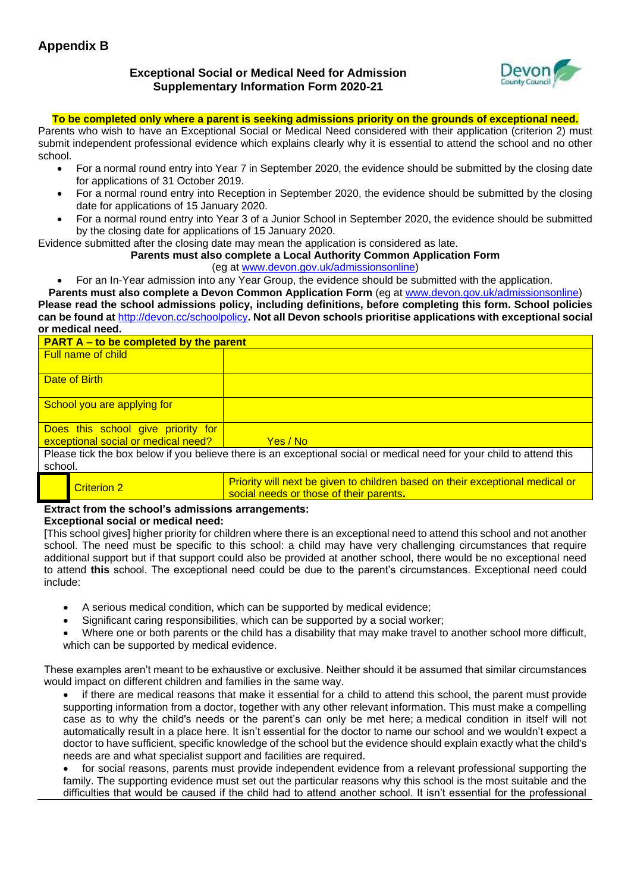<span id="page-15-0"></span>**Exceptional Social or Medical Need for Admission Supplementary Information Form 2020-21**



**To be completed only where a parent is seeking admissions priority on the grounds of exceptional need.**

Parents who wish to have an Exceptional Social or Medical Need considered with their application (criterion 2) must submit independent professional evidence which explains clearly why it is essential to attend the school and no other school.

- For a normal round entry into Year 7 in September 2020, the evidence should be submitted by the closing date for applications of 31 October 2019.
- For a normal round entry into Reception in September 2020, the evidence should be submitted by the closing date for applications of 15 January 2020.
- For a normal round entry into Year 3 of a Junior School in September 2020, the evidence should be submitted by the closing date for applications of 15 January 2020.

Evidence submitted after the closing date may mean the application is considered as late.

## **Parents must also complete a Local Authority Common Application Form**

(eg at [www.devon.gov.uk/admissionsonline\)](http://www.devon.gov.uk/admissionsonline)

• For an In-Year admission into any Year Group, the evidence should be submitted with the application.

**Parents must also complete a Devon Common Application Form** (eg at [www.devon.gov.uk/admissionsonline\)](http://www.devon.gov.uk/admisisonsonline)

**Please read the school admissions policy, including definitions, before completing this form. School policies can be found at** <http://devon.cc/schoolpolicy>**. Not all Devon schools prioritise applications with exceptional social or medical need.** 

| <b>PART A – to be completed by the parent</b>                                                                                    |          |
|----------------------------------------------------------------------------------------------------------------------------------|----------|
| <b>Full name of child</b>                                                                                                        |          |
| Date of Birth                                                                                                                    |          |
| School you are applying for                                                                                                      |          |
| Does this school give priority for                                                                                               |          |
| exceptional social or medical need?                                                                                              | Yes / No |
| Please tick the box below if you believe there is an exceptional social or medical need for your child to attend this<br>school. |          |

| Criterion 2 | Priority will next be given to children based on their exceptional medical or<br>social needs or those of their parents. |
|-------------|--------------------------------------------------------------------------------------------------------------------------|

## **Extract from the school's admissions arrangements:**

#### **Exceptional social or medical need:**

[This school gives] higher priority for children where there is an exceptional need to attend this school and not another school. The need must be specific to this school: a child may have very challenging circumstances that require additional support but if that support could also be provided at another school, there would be no exceptional need to attend **this** school. The exceptional need could be due to the parent's circumstances. Exceptional need could include:

- A serious medical condition, which can be supported by medical evidence;
- Significant caring responsibilities, which can be supported by a social worker;
- Where one or both parents or the child has a disability that may make travel to another school more difficult, which can be supported by medical evidence.

These examples aren't meant to be exhaustive or exclusive. Neither should it be assumed that similar circumstances would impact on different children and families in the same way.

• if there are medical reasons that make it essential for a child to attend this school, the parent must provide supporting information from a doctor, together with any other relevant information. This must make a compelling case as to why the child's needs or the parent's can only be met here; a medical condition in itself will not automatically result in a place here. It isn't essential for the doctor to name our school and we wouldn't expect a doctor to have sufficient, specific knowledge of the school but the evidence should explain exactly what the child's needs are and what specialist support and facilities are required.

• for social reasons, parents must provide independent evidence from a relevant professional supporting the family. The supporting evidence must set out the particular reasons why this school is the most suitable and the difficulties that would be caused if the child had to attend another school. It isn't essential for the professional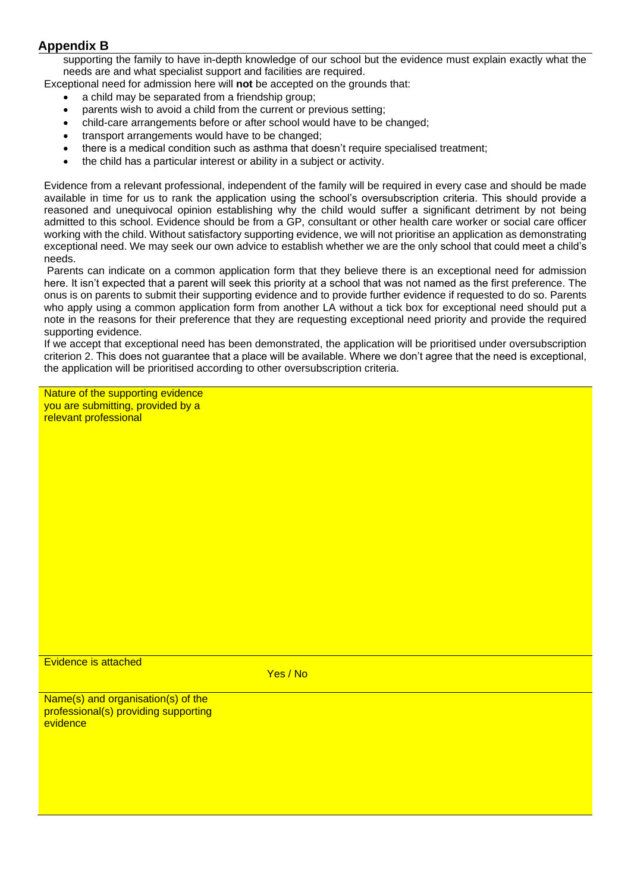supporting the family to have in-depth knowledge of our school but the evidence must explain exactly what the needs are and what specialist support and facilities are required.

Exceptional need for admission here will **not** be accepted on the grounds that:

- a child may be separated from a friendship group;
- parents wish to avoid a child from the current or previous setting;
- child-care arrangements before or after school would have to be changed;
- transport arrangements would have to be changed;
- there is a medical condition such as asthma that doesn't require specialised treatment;
- the child has a particular interest or ability in a subject or activity.

Evidence from a relevant professional, independent of the family will be required in every case and should be made available in time for us to rank the application using the school's oversubscription criteria. This should provide a reasoned and unequivocal opinion establishing why the child would suffer a significant detriment by not being admitted to this school. Evidence should be from a GP, consultant or other health care worker or social care officer working with the child. Without satisfactory supporting evidence, we will not prioritise an application as demonstrating exceptional need. We may seek our own advice to establish whether we are the only school that could meet a child's needs.

Parents can indicate on a common application form that they believe there is an exceptional need for admission here. It isn't expected that a parent will seek this priority at a school that was not named as the first preference. The onus is on parents to submit their supporting evidence and to provide further evidence if requested to do so. Parents who apply using a common application form from another LA without a tick box for exceptional need should put a note in the reasons for their preference that they are requesting exceptional need priority and provide the required supporting evidence.

If we accept that exceptional need has been demonstrated, the application will be prioritised under oversubscription criterion 2. This does not guarantee that a place will be available. Where we don't agree that the need is exceptional, the application will be prioritised according to other oversubscription criteria.

Nature of the supporting evidence you are submitting, provided by a relevant professional

Evidence is attached

Yes / No

Name(s) and organisation(s) of the professional(s) providing supporting evidence